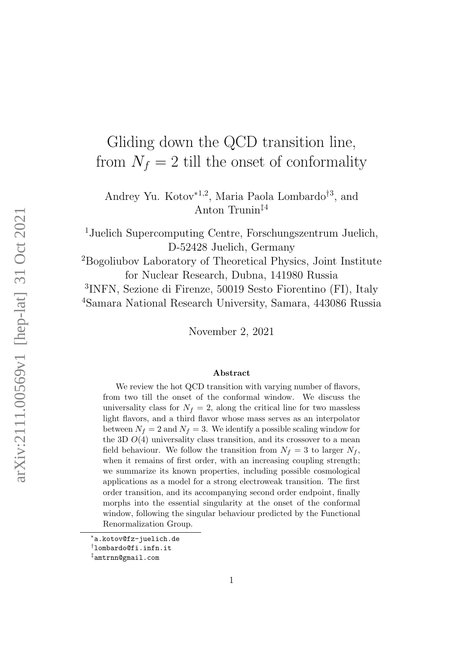# Gliding down the QCD transition line, from  $N_f = 2$  till the onset of conformality

Andrey Yu. Kotov<sup>∗</sup>1,2, Maria Paola Lombardo†<sup>3</sup> , and Anton Trunin‡<sup>4</sup>

<sup>1</sup>Juelich Supercomputing Centre, Forschungszentrum Juelich, D-52428 Juelich, Germany

<sup>2</sup>Bogoliubov Laboratory of Theoretical Physics, Joint Institute for Nuclear Research, Dubna, 141980 Russia

3 INFN, Sezione di Firenze, 50019 Sesto Fiorentino (FI), Italy <sup>4</sup>Samara National Research University, Samara, 443086 Russia

November 2, 2021

#### Abstract

We review the hot QCD transition with varying number of flavors, from two till the onset of the conformal window. We discuss the universality class for  $N_f = 2$ , along the critical line for two massless light flavors, and a third flavor whose mass serves as an interpolator between  $N_f = 2$  and  $N_f = 3$ . We identify a possible scaling window for the 3D  $O(4)$  universality class transition, and its crossover to a mean field behaviour. We follow the transition from  $N_f = 3$  to larger  $N_f$ , when it remains of first order, with an increasing coupling strength; we summarize its known properties, including possible cosmological applications as a model for a strong electroweak transition. The first order transition, and its accompanying second order endpoint, finally morphs into the essential singularity at the onset of the conformal window, following the singular behaviour predicted by the Functional Renormalization Group.

<sup>∗</sup>a.kotov@fz-juelich.de

<sup>†</sup>lombardo@fi.infn.it

<sup>‡</sup>amtrnn@gmail.com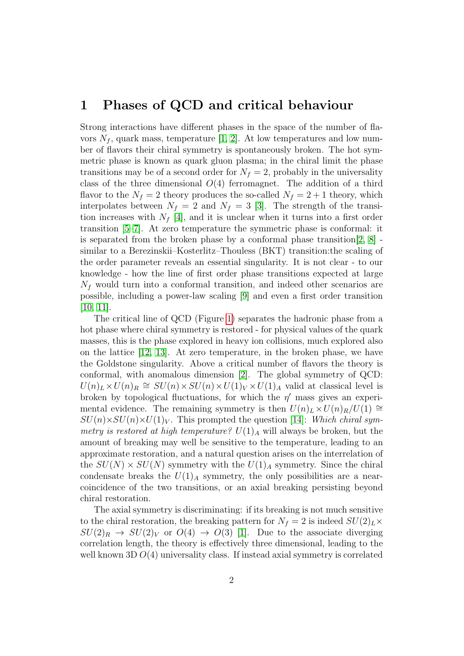#### 1 Phases of QCD and critical behaviour

Strong interactions have different phases in the space of the number of flavors  $N_f$ , quark mass, temperature [\[1,](#page-22-0) [2\]](#page-22-1). At low temperatures and low number of flavors their chiral symmetry is spontaneously broken. The hot symmetric phase is known as quark gluon plasma; in the chiral limit the phase transitions may be of a second order for  $N_f = 2$ , probably in the universality class of the three dimensional  $O(4)$  ferromagnet. The addition of a third flavor to the  $N_f = 2$  theory produces the so-called  $N_f = 2 + 1$  theory, which interpolates between  $N_f = 2$  and  $N_f = 3$  [\[3\]](#page-22-2). The strength of the transition increases with  $N_f$  [\[4\]](#page-22-3), and it is unclear when it turns into a first order transition [\[5–](#page-22-4)[7\]](#page-23-0). At zero temperature the symmetric phase is conformal: it is separated from the broken phase by a conformal phase transition  $[2, 8]$  $[2, 8]$ . similar to a Berezinskii–Kosterlitz–Thouless (BKT) transition:the scaling of the order parameter reveals an essential singularity. It is not clear - to our knowledge - how the line of first order phase transitions expected at large  $N_f$  would turn into a conformal transition, and indeed other scenarios are possible, including a power-law scaling [\[9\]](#page-23-2) and even a first order transition  $[10, 11]$  $[10, 11]$ .

The critical line of QCD (Figure [1\)](#page-3-0) separates the hadronic phase from a hot phase where chiral symmetry is restored - for physical values of the quark masses, this is the phase explored in heavy ion collisions, much explored also on the lattice [\[12,](#page-23-5) [13\]](#page-23-6). At zero temperature, in the broken phase, we have the Goldstone singularity. Above a critical number of flavors the theory is conformal, with anomalous dimension [\[2\]](#page-22-1). The global symmetry of QCD:  $U(n)_L \times U(n)_R \cong SU(n) \times SU(n) \times U(1)_V \times U(1)_A$  valid at classical level is broken by topological fluctuations, for which the  $\eta'$  mass gives an experimental evidence. The remaining symmetry is then  $U(n)_L \times U(n)_R/U(1) \cong$  $SU(n)\times SU(n)\times U(1)_V$ . This prompted the question [\[14\]](#page-23-7): Which chiral symmetry is restored at high temperature?  $U(1)_{A}$  will always be broken, but the amount of breaking may well be sensitive to the temperature, leading to an approximate restoration, and a natural question arises on the interrelation of the  $SU(N) \times SU(N)$  symmetry with the  $U(1)_A$  symmetry. Since the chiral condensate breaks the  $U(1)_A$  symmetry, the only possibilities are a nearcoincidence of the two transitions, or an axial breaking persisting beyond chiral restoration.

The axial symmetry is discriminating: if its breaking is not much sensitive to the chiral restoration, the breaking pattern for  $N_f = 2$  is indeed  $SU(2)_L \times$  $SU(2)_R \rightarrow SU(2)_V$  or  $O(4) \rightarrow O(3)$  [\[1\]](#page-22-0). Due to the associate diverging correlation length, the theory is effectively three dimensional, leading to the well known 3D  $O(4)$  universality class. If instead axial symmetry is correlated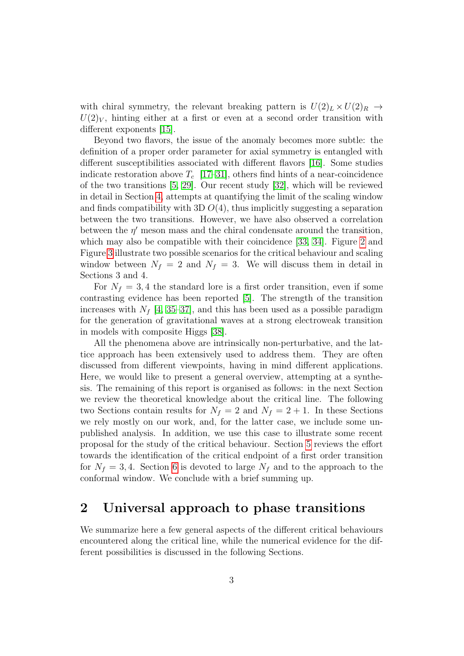with chiral symmetry, the relevant breaking pattern is  $U(2)_L \times U(2)_R \rightarrow$  $U(2)_V$ , hinting either at a first or even at a second order transition with different exponents [\[15\]](#page-23-8).

Beyond two flavors, the issue of the anomaly becomes more subtle: the definition of a proper order parameter for axial symmetry is entangled with different susceptibilities associated with different flavors [\[16\]](#page-23-9). Some studies indicate restoration above  $T_c$  [\[17](#page-23-10)[–31\]](#page-25-0), others find hints of a near-coincidence of the two transitions [\[5,](#page-22-4) [29\]](#page-25-1). Our recent study [\[32\]](#page-25-2), which will be reviewed in detail in Section [4,](#page-10-0) attempts at quantifying the limit of the scaling window and finds compatibility with 3D  $O(4)$ , thus implicitly suggesting a separation between the two transitions. However, we have also observed a correlation between the  $\eta'$  meson mass and the chiral condensate around the transition, which may also be compatible with their coincidence [\[33,](#page-25-3) [34\]](#page-25-4). Figure [2](#page-6-0) and Figure [3](#page-7-0) illustrate two possible scenarios for the critical behaviour and scaling window between  $N_f = 2$  and  $N_f = 3$ . We will discuss them in detail in Sections 3 and 4.

For  $N_f = 3, 4$  the standard lore is a first order transition, even if some contrasting evidence has been reported [\[5\]](#page-22-4). The strength of the transition increases with  $N_f$  [\[4,](#page-22-3) [35–](#page-25-5)[37\]](#page-25-6), and this has been used as a possible paradigm for the generation of gravitational waves at a strong electroweak transition in models with composite Higgs [\[38\]](#page-25-7).

All the phenomena above are intrinsically non-perturbative, and the lattice approach has been extensively used to address them. They are often discussed from different viewpoints, having in mind different applications. Here, we would like to present a general overview, attempting at a synthesis. The remaining of this report is organised as follows: in the next Section we review the theoretical knowledge about the critical line. The following two Sections contain results for  $N_f = 2$  and  $N_f = 2 + 1$ . In these Sections we rely mostly on our work, and, for the latter case, we include some unpublished analysis. In addition, we use this case to illustrate some recent proposal for the study of the critical behaviour. Section [5](#page-16-0) reviews the effort towards the identification of the critical endpoint of a first order transition for  $N_f = 3, 4$ . Section [6](#page-18-0) is devoted to large  $N_f$  and to the approach to the conformal window. We conclude with a brief summing up.

#### <span id="page-2-0"></span>2 Universal approach to phase transitions

We summarize here a few general aspects of the different critical behaviours encountered along the critical line, while the numerical evidence for the different possibilities is discussed in the following Sections.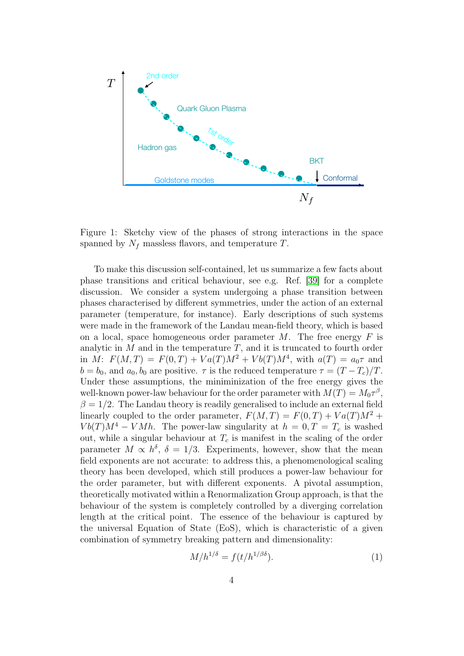

<span id="page-3-0"></span>Figure 1: Sketchy view of the phases of strong interactions in the space spanned by  $N_f$  massless flavors, and temperature T.

To make this discussion self-contained, let us summarize a few facts about phase transitions and critical behaviour, see e.g. Ref. [\[39\]](#page-26-0) for a complete discussion. We consider a system undergoing a phase transition between phases characterised by different symmetries, under the action of an external parameter (temperature, for instance). Early descriptions of such systems were made in the framework of the Landau mean-field theory, which is based on a local, space homogeneous order parameter  $M$ . The free energy  $F$  is analytic in  $M$  and in the temperature  $T$ , and it is truncated to fourth order in  $M: F(M,T) = F(0,T) + Va(T)M^2 + Vb(T)M^4$ , with  $a(T) = a_0\tau$  and  $b = b_0$ , and  $a_0, b_0$  are positive.  $\tau$  is the reduced temperature  $\tau = (T - T_c)/T$ . Under these assumptions, the miniminization of the free energy gives the well-known power-law behaviour for the order parameter with  $M(T) = M_0 \tau^{\beta}$ ,  $\beta = 1/2$ . The Landau theory is readily generalised to include an external field linearly coupled to the order parameter,  $F(M,T) = F(0,T) + Va(T)M^2 +$  $Vb(T)M^4 - V M h$ . The power-law singularity at  $h = 0, T = T_c$  is washed out, while a singular behaviour at  $T_c$  is manifest in the scaling of the order parameter  $M \propto h^{\delta}$ ,  $\delta = 1/3$ . Experiments, however, show that the mean field exponents are not accurate: to address this, a phenomenological scaling theory has been developed, which still produces a power-law behaviour for the order parameter, but with different exponents. A pivotal assumption, theoretically motivated within a Renormalization Group approach, is that the behaviour of the system is completely controlled by a diverging correlation length at the critical point. The essence of the behaviour is captured by the universal Equation of State (EoS), which is characteristic of a given combination of symmetry breaking pattern and dimensionality:

$$
M/h^{1/\delta} = f(t/h^{1/\beta\delta}).\tag{1}
$$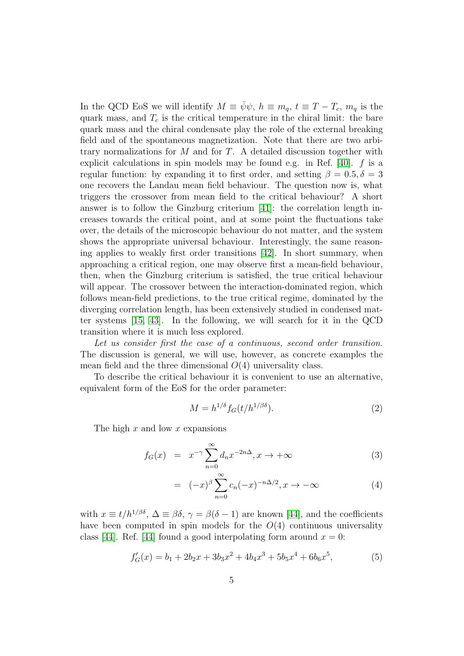In the QCD EoS we will identify  $M \equiv \bar{\psi}\psi$ ,  $h \equiv m_q$ ,  $t \equiv T - T_c$ ,  $m_q$  is the quark mass, and  $T_c$  is the critical temperature in the chiral limit: the bare quark mass and the chiral condensate play the role of the external breaking field and of the spontaneous magnetization. Note that there are two arbitrary normalizations for  $M$  and for  $T$ . A detailed discussion together with explicit calculations in spin models may be found e.g. in Ref.  $[40]$ . f is a regular function: by expanding it to first order, and setting  $\beta = 0.5, \delta = 3$ one recovers the Landau mean field behaviour. The question now is, what triggers the crossover from mean field to the critical behaviour? A short answer is to follow the Ginzburg criterium [\[41\]](#page-26-2): the correlation length increases towards the critical point, and at some point the fluctuations take over, the details of the microscopic behaviour do not matter, and the system shows the appropriate universal behaviour. Interestingly, the same reasoning applies to weakly first order transitions [\[42\]](#page-26-3). In short summary, when approaching a critical region, one may observe first a mean-field behaviour, then, when the Ginzburg criterium is satisfied, the true critical behaviour will appear. The crossover between the interaction-dominated region, which follows mean-field predictions, to the true critical regime, dominated by the diverging correlation length, has been extensively studied in condensed matter systems [\[15,](#page-23-8) [43\]](#page-26-4). In the following, we will search for it in the QCD transition where it is much less explored.

Let us consider first the case of a continuous, second order transition. The discussion is general, we will use, however, as concrete examples the mean field and the three dimensional  $O(4)$  universality class.

To describe the critical behaviour it is convenient to use an alternative, equivalent form of the EoS for the order parameter:

$$
M = h^{1/\delta} f_G(t/h^{1/\beta\delta}).\tag{2}
$$

The high  $x$  and low  $x$  expansions

$$
f_G(x) = x^{-\gamma} \sum_{n=0}^{\infty} d_n x^{-2n\Delta}, x \to +\infty
$$
 (3)

$$
= (-x)^{\beta} \sum_{n=0}^{\infty} c_n (-x)^{-n\Delta/2}, x \to -\infty
$$
 (4)

with  $x \equiv t/h^{1/\beta\delta}$ ,  $\Delta \equiv \beta\delta$ ,  $\gamma = \beta(\delta - 1)$  are known [\[44\]](#page-26-5), and the coefficients have been computed in spin models for the  $O(4)$  continuous universality class [\[44\]](#page-26-5). Ref. [44] found a good interpolating form around  $x = 0$ :

$$
f'_{G}(x) = b_1 + 2b_2x + 3b_3x^2 + 4b_4x^3 + 5b_5x^4 + 6b_6x^5,
$$
 (5)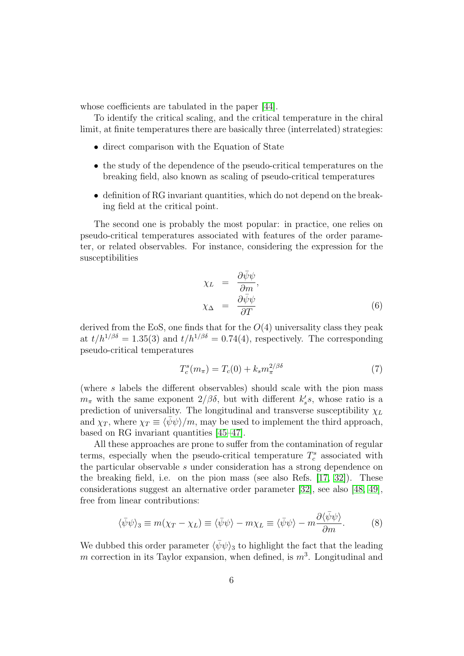whose coefficients are tabulated in the paper [\[44\]](#page-26-5).

To identify the critical scaling, and the critical temperature in the chiral limit, at finite temperatures there are basically three (interrelated) strategies:

- direct comparison with the Equation of State
- the study of the dependence of the pseudo-critical temperatures on the breaking field, also known as scaling of pseudo-critical temperatures
- definition of RG invariant quantities, which do not depend on the breaking field at the critical point.

The second one is probably the most popular: in practice, one relies on pseudo-critical temperatures associated with features of the order parameter, or related observables. For instance, considering the expression for the susceptibilities

$$
\chi_L = \frac{\partial \bar{\psi}\psi}{\partial m}, \n\chi_{\Delta} = \frac{\partial \bar{\psi}\psi}{\partial T}
$$
\n(6)

derived from the EoS, one finds that for the  $O(4)$  universality class they peak at  $t/h^{1/\beta\delta} = 1.35(3)$  and  $t/h^{1/\beta\delta} = 0.74(4)$ , respectively. The corresponding pseudo-critical temperatures

<span id="page-5-0"></span>
$$
T_c^s(m_\pi) = T_c(0) + k_s m_\pi^{2/\beta\delta} \tag{7}
$$

(where s labels the different observables) should scale with the pion mass  $m_{\pi}$  with the same exponent  $2/\beta\delta$ , but with different  $k'_{s}s$ , whose ratio is a prediction of universality. The longitudinal and transverse susceptibility  $\chi_L$ and  $\chi_T$ , where  $\chi_T \equiv \langle \psi \psi \rangle / m$ , may be used to implement the third approach, based on RG invariant quantities [\[45–](#page-26-6)[47\]](#page-26-7).

All these approaches are prone to suffer from the contamination of regular terms, especially when the pseudo-critical temperature  $T_c^s$  associated with the particular observable s under consideration has a strong dependence on the breaking field, i.e. on the pion mass (see also Refs. [\[17,](#page-23-10) [32\]](#page-25-2)). These considerations suggest an alternative order parameter [\[32\]](#page-25-2), see also [\[48,](#page-26-8) [49\]](#page-26-9), free from linear contributions:

$$
\langle \bar{\psi}\psi \rangle_3 \equiv m(\chi_T - \chi_L) \equiv \langle \bar{\psi}\psi \rangle - m\chi_L \equiv \langle \bar{\psi}\psi \rangle - m \frac{\partial \langle \bar{\psi}\psi \rangle}{\partial m}.
$$
 (8)

We dubbed this order parameter  $\langle \bar{\psi}\psi \rangle_3$  to highlight the fact that the leading m correction in its Taylor expansion, when defined, is  $m<sup>3</sup>$ . Longitudinal and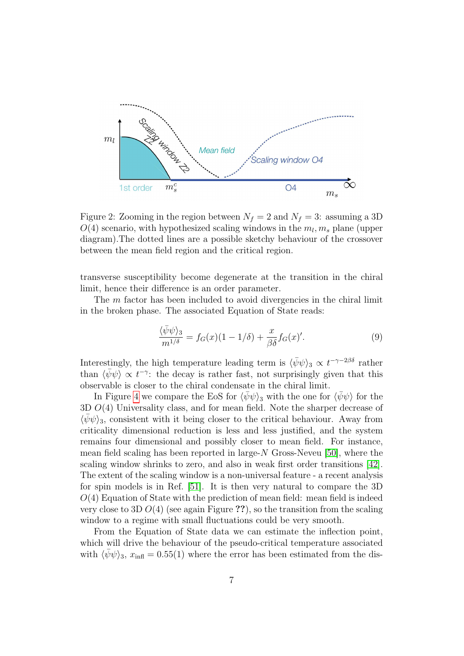

<span id="page-6-0"></span>Figure 2: Zooming in the region between  $N_f = 2$  and  $N_f = 3$ : assuming a 3D  $O(4)$  scenario, with hypothesized scaling windows in the  $m_l, m_s$  plane (upper diagram).The dotted lines are a possible sketchy behaviour of the crossover between the mean field region and the critical region.

transverse susceptibility become degenerate at the transition in the chiral limit, hence their difference is an order parameter.

The *m* factor has been included to avoid divergencies in the chiral limit in the broken phase. The associated Equation of State reads:

$$
\frac{\langle \bar{\psi}\psi \rangle_3}{m^{1/\delta}} = f_G(x)(1 - 1/\delta) + \frac{x}{\beta \delta} f_G(x)'.\tag{9}
$$

Interestingly, the high temperature leading term is  $\langle \bar{\psi}\psi \rangle_3 \propto t^{-\gamma - 2\beta\delta}$  rather than  $\langle \bar{\psi}\psi \rangle \propto t^{-\gamma}$ : the decay is rather fast, not surprisingly given that this observable is closer to the chiral condensate in the chiral limit.

In Figure [4](#page-8-0) we compare the EoS for  $\langle \bar{\psi}\psi \rangle$ <sub>3</sub> with the one for  $\langle \bar{\psi}\psi \rangle$  for the  $3D O(4)$  Universality class, and for mean field. Note the sharper decrease of  $\langle \psi \psi \rangle_3$ , consistent with it being closer to the critical behaviour. Away from criticality dimensional reduction is less and less justified, and the system remains four dimensional and possibly closer to mean field. For instance, mean field scaling has been reported in large- $N$  Gross-Neveu [\[50\]](#page-26-10), where the scaling window shrinks to zero, and also in weak first order transitions [\[42\]](#page-26-3). The extent of the scaling window is a non-universal feature - a recent analysis for spin models is in Ref. [\[51\]](#page-27-0). It is then very natural to compare the 3D  $O(4)$  Equation of State with the prediction of mean field: mean field is indeed very close to 3D  $O(4)$  (see again Figure ??), so the transition from the scaling window to a regime with small fluctuations could be very smooth.

From the Equation of State data we can estimate the inflection point, which will drive the behaviour of the pseudo-critical temperature associated with  $\langle \psi \psi \rangle_3$ ,  $x_{\text{infl}} = 0.55(1)$  where the error has been estimated from the dis-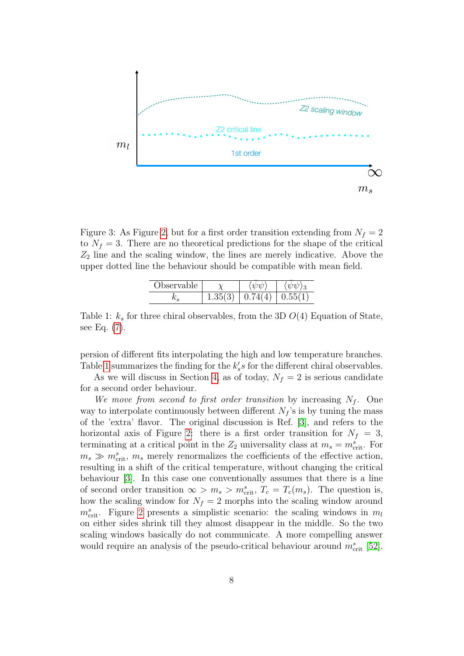

<span id="page-7-0"></span>Figure 3: As Figure [2,](#page-6-0) but for a first order transition extending from  $N_f = 2$ to  $N_f = 3$ . There are no theoretical predictions for the shape of the critical  $Z_2$  line and the scaling window, the lines are merely indicative. Above the upper dotted line the behaviour should be compatible with mean field.

| Observable |          |         |                |
|------------|----------|---------|----------------|
|            | (.35(3)) | 0.74(4) | $\mid 0.55(1)$ |

<span id="page-7-1"></span>Table 1:  $k<sub>s</sub>$  for three chiral observables, from the 3D  $O(4)$  Equation of State, see Eq. [\(7\)](#page-5-0).

persion of different fits interpolating the high and low temperature branches. Table [1](#page-7-1) summarizes the finding for the  $k'_s s$  for the different chiral observables.

As we will discuss in Section [4,](#page-10-0) as of today,  $N_f = 2$  is serious candidate for a second order behaviour.

We move from second to first order transition by increasing  $N_f$ . One way to interpolate continuously between different  $N_f$ 's is by tuning the mass of the 'extra' flavor. The original discussion is Ref. [\[3\]](#page-22-2), and refers to the horizontal axis of Figure [2:](#page-6-0) there is a first order transition for  $N_f = 3$ , terminating at a critical point in the  $Z_2$  universality class at  $m_s = m_{\text{crit}}^s$ . For  $m_s \gg m_{\text{crit}}^s$ ,  $m_s$  merely renormalizes the coefficients of the effective action, resulting in a shift of the critical temperature, without changing the critical behaviour [\[3\]](#page-22-2). In this case one conventionally assumes that there is a line of second order transition  $\infty > m_s > m_{\text{crit}}^s$ ,  $T_c = T_c(m_s)$ . The question is, how the scaling window for  $N_f = 2$  morphs into the scaling window around  $m_{\text{crit}}^s$ . Figure [2](#page-6-0) presents a simplistic scenario: the scaling windows in  $m_l$ on either sides shrink till they almost disappear in the middle. So the two scaling windows basically do not communicate. A more compelling answer would require an analysis of the pseudo-critical behaviour around  $m<sub>crit</sub><sup>s</sup>$  [\[52\]](#page-27-1).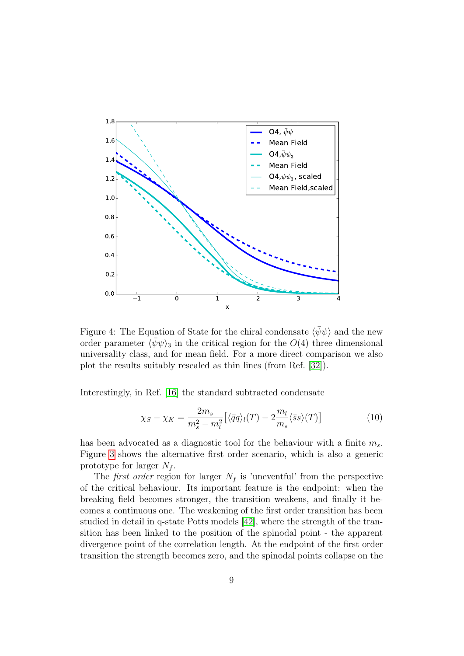

<span id="page-8-0"></span>Figure 4: The Equation of State for the chiral condensate  $\langle \bar{\psi}\psi \rangle$  and the new order parameter  $\langle \psi \psi \rangle_3$  in the critical region for the  $O(4)$  three dimensional universality class, and for mean field. For a more direct comparison we also plot the results suitably rescaled as thin lines (from Ref. [\[32\]](#page-25-2)).

Interestingly, in Ref. [\[16\]](#page-23-9) the standard subtracted condensate

$$
\chi_S - \chi_K = \frac{2m_s}{m_s^2 - m_l^2} \left[ \langle \bar{q}q \rangle_l(T) - 2 \frac{m_l}{m_s} \langle \bar{s}s \rangle(T) \right] \tag{10}
$$

has been advocated as a diagnostic tool for the behaviour with a finite  $m_s$ . Figure [3](#page-7-0) shows the alternative first order scenario, which is also a generic prototype for larger  $N_f$ .

The *first order* region for larger  $N_f$  is 'uneventful' from the perspective of the critical behaviour. Its important feature is the endpoint: when the breaking field becomes stronger, the transition weakens, and finally it becomes a continuous one. The weakening of the first order transition has been studied in detail in q-state Potts models [\[42\]](#page-26-3), where the strength of the transition has been linked to the position of the spinodal point - the apparent divergence point of the correlation length. At the endpoint of the first order transition the strength becomes zero, and the spinodal points collapse on the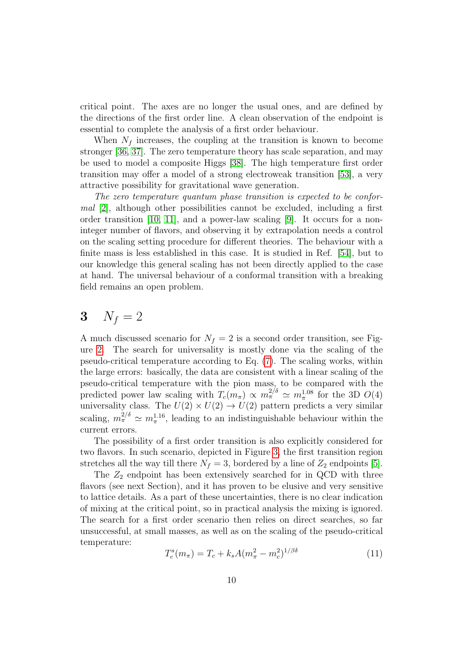critical point. The axes are no longer the usual ones, and are defined by the directions of the first order line. A clean observation of the endpoint is essential to complete the analysis of a first order behaviour.

When  $N_f$  increases, the coupling at the transition is known to become stronger [\[36,](#page-25-8) [37\]](#page-25-6). The zero temperature theory has scale separation, and may be used to model a composite Higgs [\[38\]](#page-25-7). The high temperature first order transition may offer a model of a strong electroweak transition [\[53\]](#page-27-2), a very attractive possibility for gravitational wave generation.

The zero temperature quantum phase transition is expected to be conformal [\[2\]](#page-22-1), although other possibilities cannot be excluded, including a first order transition  $[10, 11]$  $[10, 11]$ , and a power-law scaling  $[9]$ . It occurs for a noninteger number of flavors, and observing it by extrapolation needs a control on the scaling setting procedure for different theories. The behaviour with a finite mass is less established in this case. It is studied in Ref. [\[54\]](#page-27-3), but to our knowledge this general scaling has not been directly applied to the case at hand. The universal behaviour of a conformal transition with a breaking field remains an open problem.

# <span id="page-9-0"></span>3  $N_f = 2$

A much discussed scenario for  $N_f = 2$  is a second order transition, see Figure [2.](#page-6-0) The search for universality is mostly done via the scaling of the pseudo-critical temperature according to Eq. [\(7\)](#page-5-0). The scaling works, within the large errors: basically, the data are consistent with a linear scaling of the pseudo-critical temperature with the pion mass, to be compared with the predicted power law scaling with  $T_c(m_\pi) \propto m_\pi^{2/\delta} \simeq m_\pi^{1.08}$  for the 3D  $O(4)$ universality class. The  $U(2) \times U(2) \rightarrow U(2)$  pattern predicts a very similar scaling,  $m_{\pi}^{2/\delta} \simeq m_{\pi}^{1.16}$ , leading to an indistinguishable behaviour within the current errors.

The possibility of a first order transition is also explicitly considered for two flavors. In such scenario, depicted in Figure [3,](#page-7-0) the first transition region stretches all the way till there  $N_f = 3$ , bordered by a line of  $Z_2$  endpoints [\[5\]](#page-22-4).

The  $Z_2$  endpoint has been extensively searched for in QCD with three flavors (see next Section), and it has proven to be elusive and very sensitive to lattice details. As a part of these uncertainties, there is no clear indication of mixing at the critical point, so in practical analysis the mixing is ignored. The search for a first order scenario then relies on direct searches, so far unsuccessful, at small masses, as well as on the scaling of the pseudo-critical temperature:

$$
T_c^s(m_\pi) = T_c + k_s A (m_\pi^2 - m_c^2)^{1/\beta\delta} \tag{11}
$$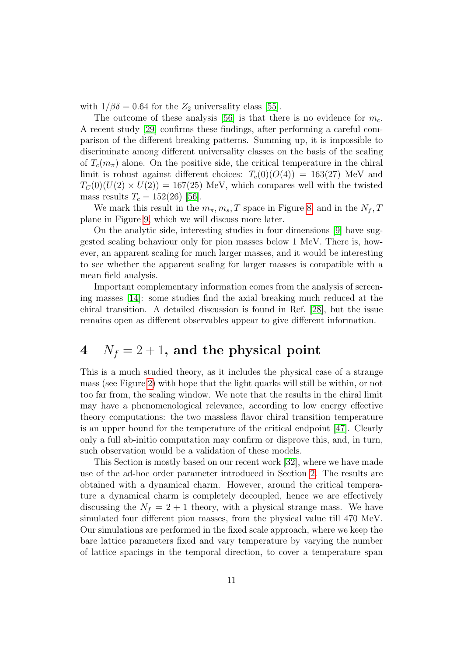with  $1/\beta\delta = 0.64$  for the  $Z_2$  universality class [\[55\]](#page-27-4).

The outcome of these analysis [\[56\]](#page-27-5) is that there is no evidence for  $m_c$ . A recent study [\[29\]](#page-25-1) confirms these findings, after performing a careful comparison of the different breaking patterns. Summing up, it is impossible to discriminate among different universality classes on the basis of the scaling of  $T_c(m_\pi)$  alone. On the positive side, the critical temperature in the chiral limit is robust against different choices:  $T_c(0)(O(4)) = 163(27)$  MeV and  $T_C(0)(U(2) \times U(2)) = 167(25)$  MeV, which compares well with the twisted mass results  $T_c = 152(26)$  [\[56\]](#page-27-5).

We mark this result in the  $m_{\pi}, m_s, T$  space in Figure [8,](#page-16-1) and in the  $N_f, T$ plane in Figure [9,](#page-17-0) which we will discuss more later.

On the analytic side, interesting studies in four dimensions [\[9\]](#page-23-2) have suggested scaling behaviour only for pion masses below 1 MeV. There is, however, an apparent scaling for much larger masses, and it would be interesting to see whether the apparent scaling for larger masses is compatible with a mean field analysis.

Important complementary information comes from the analysis of screening masses [\[14\]](#page-23-7): some studies find the axial breaking much reduced at the chiral transition. A detailed discussion is found in Ref. [\[28\]](#page-24-0), but the issue remains open as different observables appear to give different information.

# <span id="page-10-0"></span>4  $N_f = 2 + 1$ , and the physical point

This is a much studied theory, as it includes the physical case of a strange mass (see Figure [2\)](#page-6-0) with hope that the light quarks will still be within, or not too far from, the scaling window. We note that the results in the chiral limit may have a phenomenological relevance, according to low energy effective theory computations: the two massless flavor chiral transition temperature is an upper bound for the temperature of the critical endpoint [\[47\]](#page-26-7). Clearly only a full ab-initio computation may confirm or disprove this, and, in turn, such observation would be a validation of these models.

This Section is mostly based on our recent work [\[32\]](#page-25-2), where we have made use of the ad-hoc order parameter introduced in Section [2.](#page-2-0) The results are obtained with a dynamical charm. However, around the critical temperature a dynamical charm is completely decoupled, hence we are effectively discussing the  $N_f = 2 + 1$  theory, with a physical strange mass. We have simulated four different pion masses, from the physical value till 470 MeV. Our simulations are performed in the fixed scale approach, where we keep the bare lattice parameters fixed and vary temperature by varying the number of lattice spacings in the temporal direction, to cover a temperature span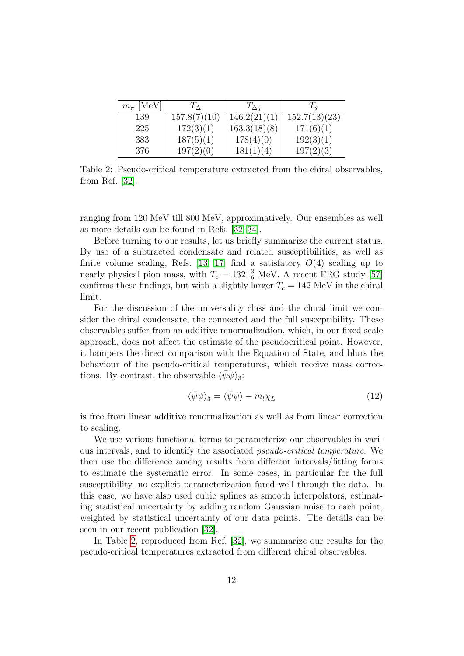| $m_{\pi}$ [MeV] | $T_{\Delta}$ | $T_{\Delta_3}$ | $T_{\rm v}$   |
|-----------------|--------------|----------------|---------------|
| 139             | 157.8(7)(10) | 146.2(21)(1)   | 152.7(13)(23) |
| 225             | 172(3)(1)    | 163.3(18)(8)   | 171(6)(1)     |
| 383             | 187(5)(1)    | 178(4)(0)      | 192(3)(1)     |
| 376             | 197(2)(0)    | 181(1)(4)      | 197(2)(3)     |

<span id="page-11-0"></span>Table 2: Pseudo-critical temperature extracted from the chiral observables, from Ref. [\[32\]](#page-25-2).

ranging from 120 MeV till 800 MeV, approximatively. Our ensembles as well as more details can be found in Refs. [\[32–](#page-25-2)[34\]](#page-25-4).

Before turning to our results, let us briefly summarize the current status. By use of a subtracted condensate and related susceptibilities, as well as finite volume scaling, Refs. [\[13,](#page-23-6) [17\]](#page-23-10) find a satisfatory  $O(4)$  scaling up to nearly physical pion mass, with  $T_c = 132^{+3}_{-6}$  MeV. A recent FRG study [\[57\]](#page-27-6) confirms these findings, but with a slightly larger  $T_c = 142$  MeV in the chiral limit.

For the discussion of the universality class and the chiral limit we consider the chiral condensate, the connected and the full susceptibility. These observables suffer from an additive renormalization, which, in our fixed scale approach, does not affect the estimate of the pseudocritical point. However, it hampers the direct comparison with the Equation of State, and blurs the behaviour of the pseudo-critical temperatures, which receive mass corrections. By contrast, the observable  $\langle \psi \psi \rangle_3$ :

$$
\langle \bar{\psi}\psi \rangle_3 = \langle \bar{\psi}\psi \rangle - m_l \chi_L \tag{12}
$$

is free from linear additive renormalization as well as from linear correction to scaling.

We use various functional forms to parameterize our observables in various intervals, and to identify the associated pseudo-critical temperature. We then use the difference among results from different intervals/fitting forms to estimate the systematic error. In some cases, in particular for the full susceptibility, no explicit parameterization fared well through the data. In this case, we have also used cubic splines as smooth interpolators, estimating statistical uncertainty by adding random Gaussian noise to each point, weighted by statistical uncertainty of our data points. The details can be seen in our recent publication [\[32\]](#page-25-2).

In Table [2,](#page-11-0) reproduced from Ref. [\[32\]](#page-25-2), we summarize our results for the pseudo-critical temperatures extracted from different chiral observables.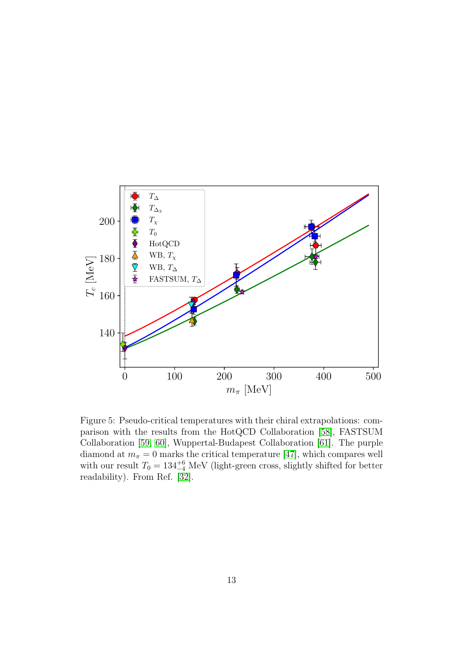

<span id="page-12-0"></span>Figure 5: Pseudo-critical temperatures with their chiral extrapolations: comparison with the results from the HotQCD Collaboration [\[58\]](#page-27-7), FASTSUM Collaboration [\[59,](#page-27-8) [60\]](#page-27-9), Wuppertal-Budapest Collaboration [\[61\]](#page-27-10). The purple diamond at  $m_{\pi} = 0$  marks the critical temperature [\[47\]](#page-26-7), which compares well with our result  $T_0 = 134^{+6}_{-4}$  MeV (light-green cross, slightly shifted for better readability). From Ref. [\[32\]](#page-25-2).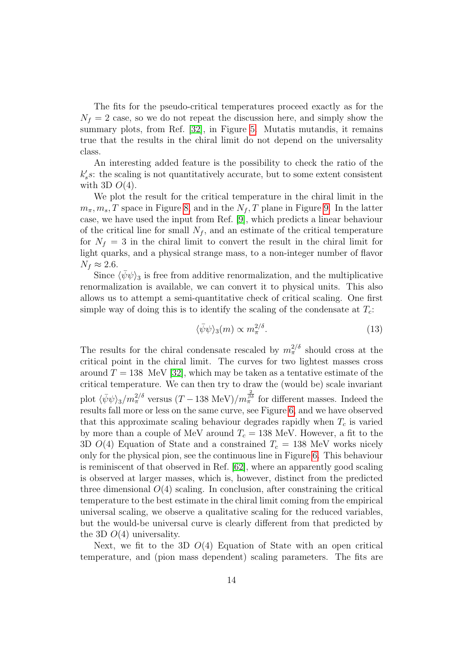The fits for the pseudo-critical temperatures proceed exactly as for the  $N_f = 2$  case, so we do not repeat the discussion here, and simply show the summary plots, from Ref. [\[32\]](#page-25-2), in Figure [5.](#page-12-0) Mutatis mutandis, it remains true that the results in the chiral limit do not depend on the universality class.

An interesting added feature is the possibility to check the ratio of the  $k'_s s$ : the scaling is not quantitatively accurate, but to some extent consistent with 3D  $O(4)$ .

We plot the result for the critical temperature in the chiral limit in the  $m_{\pi}, m_s, T$  space in Figure [8,](#page-16-1) and in the  $N_f, T$  plane in Figure [9.](#page-17-0) In the latter case, we have used the input from Ref. [\[9\]](#page-23-2), which predicts a linear behaviour of the critical line for small  $N_f$ , and an estimate of the critical temperature for  $N_f = 3$  in the chiral limit to convert the result in the chiral limit for light quarks, and a physical strange mass, to a non-integer number of flavor  $N_f \approx 2.6$ .

Since  $\langle \psi \psi \rangle_3$  is free from additive renormalization, and the multiplicative renormalization is available, we can convert it to physical units. This also allows us to attempt a semi-quantitative check of critical scaling. One first simple way of doing this is to identify the scaling of the condensate at  $T_c$ :

$$
\langle \bar{\psi}\psi \rangle_3(m) \propto m_{\pi}^{2/\delta}.\tag{13}
$$

The results for the chiral condensate rescaled by  $m_{\pi}^{2/\delta}$  should cross at the critical point in the chiral limit. The curves for two lightest masses cross around  $T = 138$  MeV [\[32\]](#page-25-2), which may be taken as a tentative estimate of the critical temperature. We can then try to draw the (would be) scale invariant plot  $\langle \bar{\psi}\psi \rangle_3/m_{\pi}^{2/\delta}$  versus  $(T - 138 \text{ MeV})/m_{\pi}^{2\over \beta \delta}$  for different masses. Indeed the results fall more or less on the same curve, see Figure [6,](#page-14-0) and we have observed that this approximate scaling behaviour degrades rapidly when  $T_c$  is varied by more than a couple of MeV around  $T_c = 138$  MeV. However, a fit to the 3D  $O(4)$  Equation of State and a constrained  $T_c = 138$  MeV works nicely only for the physical pion, see the continuous line in Figure [6.](#page-14-0) This behaviour is reminiscent of that observed in Ref. [\[62\]](#page-27-11), where an apparently good scaling is observed at larger masses, which is, however, distinct from the predicted three dimensional  $O(4)$  scaling. In conclusion, after constraining the critical temperature to the best estimate in the chiral limit coming from the empirical universal scaling, we observe a qualitative scaling for the reduced variables, but the would-be universal curve is clearly different from that predicted by the 3D  $O(4)$  universality.

Next, we fit to the 3D  $O(4)$  Equation of State with an open critical temperature, and (pion mass dependent) scaling parameters. The fits are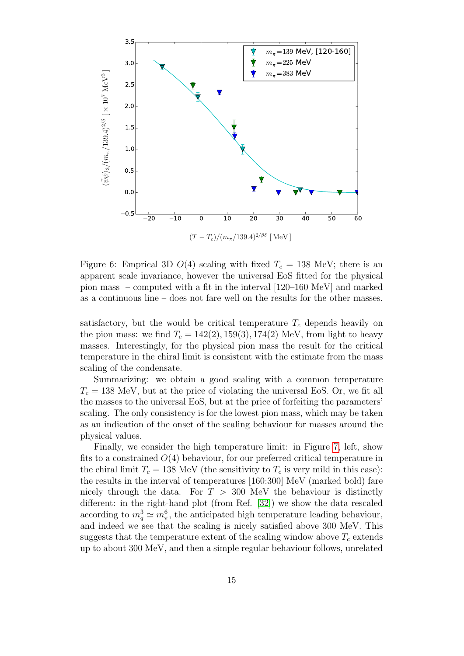

<span id="page-14-0"></span>Figure 6: Emprical 3D  $O(4)$  scaling with fixed  $T_c = 138$  MeV; there is an apparent scale invariance, however the universal EoS fitted for the physical pion mass – computed with a fit in the interval [120–160 MeV] and marked as a continuous line – does not fare well on the results for the other masses.

satisfactory, but the would be critical temperature  $T_c$  depends heavily on the pion mass: we find  $T_c = 142(2), 159(3), 174(2)$  MeV, from light to heavy masses. Interestingly, for the physical pion mass the result for the critical temperature in the chiral limit is consistent with the estimate from the mass scaling of the condensate.

Summarizing: we obtain a good scaling with a common temperature  $T_c = 138$  MeV, but at the price of violating the universal EoS. Or, we fit all the masses to the universal EoS, but at the price of forfeiting the parameters' scaling. The only consistency is for the lowest pion mass, which may be taken as an indication of the onset of the scaling behaviour for masses around the physical values.

Finally, we consider the high temperature limit: in Figure [7,](#page-15-0) left, show fits to a constrained  $O(4)$  behaviour, for our preferred critical temperature in the chiral limit  $T_c = 138$  MeV (the sensitivity to  $T_c$  is very mild in this case): the results in the interval of temperatures [160:300] MeV (marked bold) fare nicely through the data. For  $T > 300$  MeV the behaviour is distinctly different: in the right-hand plot (from Ref. [\[32\]](#page-25-2)) we show the data rescaled according to  $m_q^3 \simeq m_\pi^6$ , the anticipated high temperature leading behaviour, and indeed we see that the scaling is nicely satisfied above 300 MeV. This suggests that the temperature extent of the scaling window above  $T_c$  extends up to about 300 MeV, and then a simple regular behaviour follows, unrelated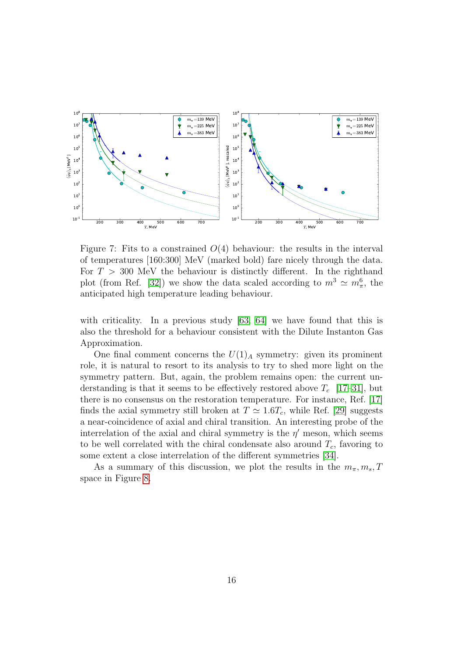

<span id="page-15-0"></span>Figure 7: Fits to a constrained  $O(4)$  behaviour: the results in the interval of temperatures [160:300] MeV (marked bold) fare nicely through the data. For  $T > 300$  MeV the behaviour is distinctly different. In the righthand plot (from Ref. [\[32\]](#page-25-2)) we show the data scaled according to  $m^3 \simeq m_\pi^6$ , the anticipated high temperature leading behaviour.

with criticality. In a previous study [\[63,](#page-28-0) [64\]](#page-28-1) we have found that this is also the threshold for a behaviour consistent with the Dilute Instanton Gas Approximation.

One final comment concerns the  $U(1)_A$  symmetry: given its prominent role, it is natural to resort to its analysis to try to shed more light on the symmetry pattern. But, again, the problem remains open: the current understanding is that it seems to be effectively restored above  $T_c$  [\[17–](#page-23-10)[31\]](#page-25-0), but there is no consensus on the restoration temperature. For instance, Ref. [\[17\]](#page-23-10) finds the axial symmetry still broken at  $T \simeq 1.6T_c$ , while Ref. [\[29\]](#page-25-1) suggests a near-coincidence of axial and chiral transition. An interesting probe of the interrelation of the axial and chiral symmetry is the  $\eta'$  meson, which seems to be well correlated with the chiral condensate also around  $T_c$ , favoring to some extent a close interrelation of the different symmetries [\[34\]](#page-25-4).

As a summary of this discussion, we plot the results in the  $m_{\pi}, m_s, T$ space in Figure [8.](#page-16-1)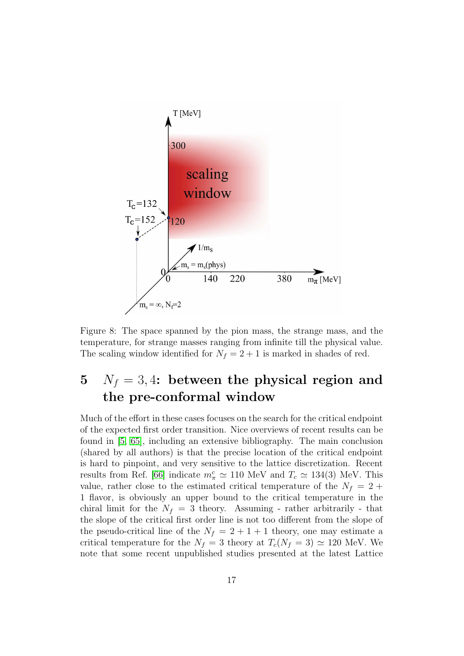

<span id="page-16-1"></span>Figure 8: The space spanned by the pion mass, the strange mass, and the temperature, for strange masses ranging from infinite till the physical value. The scaling window identified for  $N_f = 2 + 1$  is marked in shades of red.

# <span id="page-16-0"></span>5  $N_f = 3, 4$ : between the physical region and the pre-conformal window

Much of the effort in these cases focuses on the search for the critical endpoint of the expected first order transition. Nice overviews of recent results can be found in [\[5,](#page-22-4) [65\]](#page-28-2), including an extensive bibliography. The main conclusion (shared by all authors) is that the precise location of the critical endpoint is hard to pinpoint, and very sensitive to the lattice discretization. Recent results from Ref. [\[66\]](#page-28-3) indicate  $m_{\pi}^c \simeq 110$  MeV and  $T_c \simeq 134(3)$  MeV. This value, rather close to the estimated critical temperature of the  $N_f = 2 +$ 1 flavor, is obviously an upper bound to the critical temperature in the chiral limit for the  $N_f = 3$  theory. Assuming - rather arbitrarily - that the slope of the critical first order line is not too different from the slope of the pseudo-critical line of the  $N_f = 2 + 1 + 1$  theory, one may estimate a critical temperature for the  $N_f = 3$  theory at  $T_c(N_f = 3) \simeq 120$  MeV. We note that some recent unpublished studies presented at the latest Lattice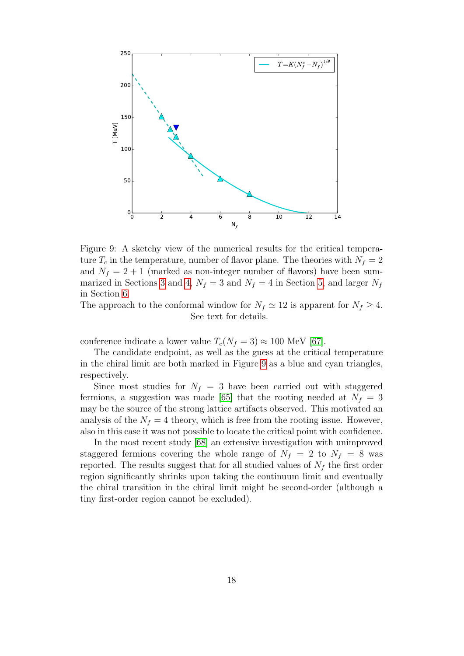

<span id="page-17-0"></span>Figure 9: A sketchy view of the numerical results for the critical temperature  $T_c$  in the temperature, number of flavor plane. The theories with  $N_f = 2$ and  $N_f = 2 + 1$  (marked as non-integer number of flavors) have been sum-marized in Sections [3](#page-9-0) and [4,](#page-10-0)  $N_f = 3$  and  $N_f = 4$  in Section [5,](#page-16-0) and larger  $N_f$ in Section [6.](#page-18-0)

The approach to the conformal window for  $N_f \simeq 12$  is apparent for  $N_f \geq 4$ . See text for details.

conference indicate a lower value  $T_c(N_f = 3) \approx 100$  MeV [\[67\]](#page-28-4).

The candidate endpoint, as well as the guess at the critical temperature in the chiral limit are both marked in Figure [9](#page-17-0) as a blue and cyan triangles, respectively.

Since most studies for  $N_f = 3$  have been carried out with staggered fermions, a suggestion was made [\[65\]](#page-28-2) that the rooting needed at  $N_f = 3$ may be the source of the strong lattice artifacts observed. This motivated an analysis of the  $N_f = 4$  theory, which is free from the rooting issue. However, also in this case it was not possible to locate the critical point with confidence.

In the most recent study [\[68\]](#page-28-5) an extensive investigation with unimproved staggered fermions covering the whole range of  $N_f = 2$  to  $N_f = 8$  was reported. The results suggest that for all studied values of  $N_f$  the first order region significantly shrinks upon taking the continuum limit and eventually the chiral transition in the chiral limit might be second-order (although a tiny first-order region cannot be excluded).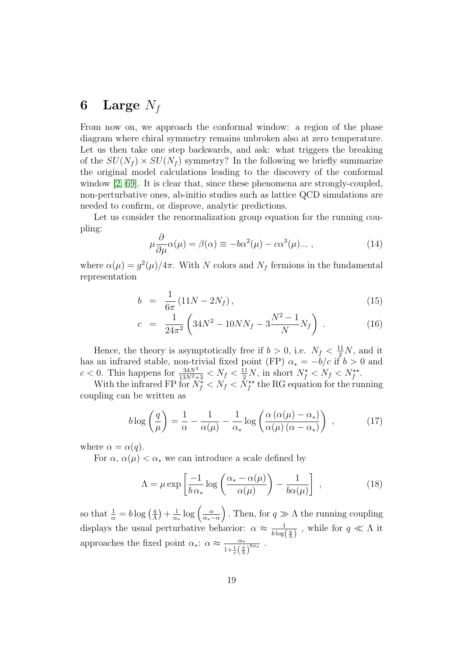### <span id="page-18-0"></span>6 Large  $N_f$

From now on, we approach the conformal window: a region of the phase diagram where chiral symmetry remains unbroken also at zero temperature. Let us then take one step backwards, and ask: what triggers the breaking of the  $SU(N_f) \times SU(N_f)$  symmetry? In the following we briefly summarize the original model calculations leading to the discovery of the conformal window [\[2,](#page-22-1) [69\]](#page-28-6). It is clear that, since these phenomena are strongly-coupled, non-perturbative ones, ab-initio studies such as lattice QCD simulations are needed to confirm, or disprove, analytic predictions.

Let us consider the renormalization group equation for the running coupling:

$$
\mu \frac{\partial}{\partial \mu} \alpha(\mu) = \beta(\alpha) \equiv -b\alpha^2(\mu) - c\alpha^3(\mu) \dots , \qquad (14)
$$

where  $\alpha(\mu) = g^2(\mu)/4\pi$ . With N colors and N<sub>f</sub> fermions in the fundamental representation

$$
b = \frac{1}{6\pi} (11N - 2N_f), \tag{15}
$$

$$
c = \frac{1}{24\pi^2} \left( 34N^2 - 10NN_f - 3\frac{N^2 - 1}{N}N_f \right) . \tag{16}
$$

Hence, the theory is asymptotically free if  $b > 0$ , i.e.  $N_f < \frac{11}{2}N$ , and it has an infrared stable, non-trivial fixed point (FP)  $\alpha_* = -b/c$  if  $b > 0$  and  $c < 0$ . This happens for  $\frac{34N^3}{13N^2+3} < N_f < \frac{11}{2}N$ , in short  $N_f \lt N_f < N_f \lt N_f^*$ .

With the infrared FP for  $N_f^{\star} < N_f < N_f^{\star\star}$  the RG equation for the running coupling can be written as

$$
b \log \left(\frac{q}{\mu}\right) = \frac{1}{\alpha} - \frac{1}{\alpha(\mu)} - \frac{1}{\alpha_*} \log \left(\frac{\alpha \left(\alpha(\mu) - \alpha_*\right)}{\alpha(\mu) \left(\alpha - \alpha_*\right)}\right) ,\qquad (17)
$$

where  $\alpha = \alpha(q)$ .

For  $\alpha$ ,  $\alpha(\mu) < \alpha_*$  we can introduce a scale defined by

$$
\Lambda = \mu \exp\left[\frac{-1}{b\,\alpha_*} \log\left(\frac{\alpha_* - \alpha(\mu)}{\alpha(\mu)}\right) - \frac{1}{b\alpha(\mu)}\right] \,,\tag{18}
$$

so that  $\frac{1}{\alpha} = b \log \left( \frac{q}{\Lambda} \right)$  $\frac{q}{\Lambda}$  +  $\frac{1}{\alpha}$ α∗ log α  $\alpha_*-\alpha$ ). Then, for  $q \gg \Lambda$  the running coupling displays the usual perturbative behavior:  $\alpha \approx \frac{1}{b \log n}$  $\frac{1}{b \log\left(\frac{q}{\Lambda}\right)}$ , while for  $q \ll \Lambda$  it approaches the fixed point  $\alpha_*: \alpha \approx \frac{\alpha_*}{1+\frac{1}{2}}$  $\frac{\alpha_{*}}{1+\frac{1}{e}\left(\frac{q}{\Lambda}\right)^{b\alpha_{*}}}$ .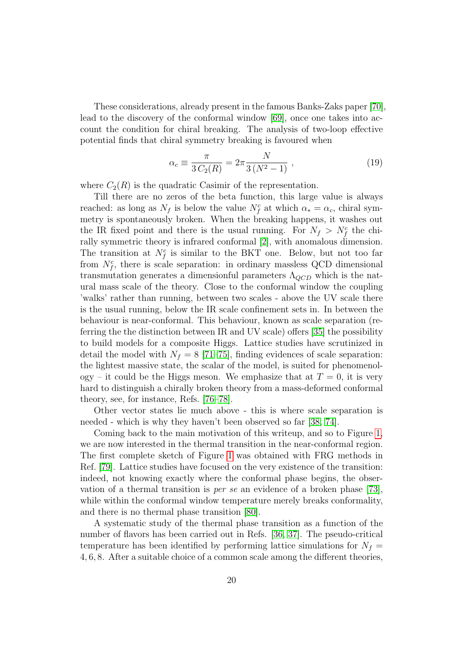These considerations, already present in the famous Banks-Zaks paper [\[70\]](#page-28-7), lead to the discovery of the conformal window [\[69\]](#page-28-6), once one takes into account the condition for chiral breaking. The analysis of two-loop effective potential finds that chiral symmetry breaking is favoured when

$$
\alpha_c \equiv \frac{\pi}{3 C_2(R)} = 2\pi \frac{N}{3(N^2 - 1)},
$$
\n(19)

where  $C_2(R)$  is the quadratic Casimir of the representation.

Till there are no zeros of the beta function, this large value is always reached: as long as  $N_f$  is below the value  $N_f^c$  at which  $\alpha_* = \alpha_c$ , chiral symmetry is spontaneously broken. When the breaking happens, it washes out the IR fixed point and there is the usual running. For  $N_f > N_f^c$  the chirally symmetric theory is infrared conformal [\[2\]](#page-22-1), with anomalous dimension. The transition at  $N_f^c$  is similar to the BKT one. Below, but not too far from  $N_f^c$ , there is scale separation: in ordinary massless QCD dimensional transmutation generates a dimensionful parameters  $\Lambda_{QCD}$  which is the natural mass scale of the theory. Close to the conformal window the coupling 'walks' rather than running, between two scales - above the UV scale there is the usual running, below the IR scale confinement sets in. In between the behaviour is near-conformal. This behaviour, known as scale separation (referring the the distinction between IR and UV scale) offers [\[35\]](#page-25-5) the possibility to build models for a composite Higgs. Lattice studies have scrutinized in detail the model with  $N_f = 8$  [\[71](#page-28-8)[–75\]](#page-28-9), finding evidences of scale separation: the lightest massive state, the scalar of the model, is suited for phenomenology – it could be the Higgs meson. We emphasize that at  $T = 0$ , it is very hard to distinguish a chirally broken theory from a mass-deformed conformal theory, see, for instance, Refs. [\[76–](#page-29-0)[78\]](#page-29-1).

Other vector states lie much above - this is where scale separation is needed - which is why they haven't been observed so far [\[38,](#page-25-7) [74\]](#page-28-10).

Coming back to the main motivation of this writeup, and so to Figure [1,](#page-3-0) we are now interested in the thermal transition in the near-conformal region. The first complete sketch of Figure [1](#page-3-0) was obtained with FRG methods in Ref. [\[79\]](#page-29-2). Lattice studies have focused on the very existence of the transition: indeed, not knowing exactly where the conformal phase begins, the observation of a thermal transition is per se an evidence of a broken phase [\[73\]](#page-28-11), while within the conformal window temperature merely breaks conformality, and there is no thermal phase transition [\[80\]](#page-29-3).

A systematic study of the thermal phase transition as a function of the number of flavors has been carried out in Refs. [\[36,](#page-25-8) [37\]](#page-25-6). The pseudo-critical temperature has been identified by performing lattice simulations for  $N_f =$ 4, 6, 8. After a suitable choice of a common scale among the different theories,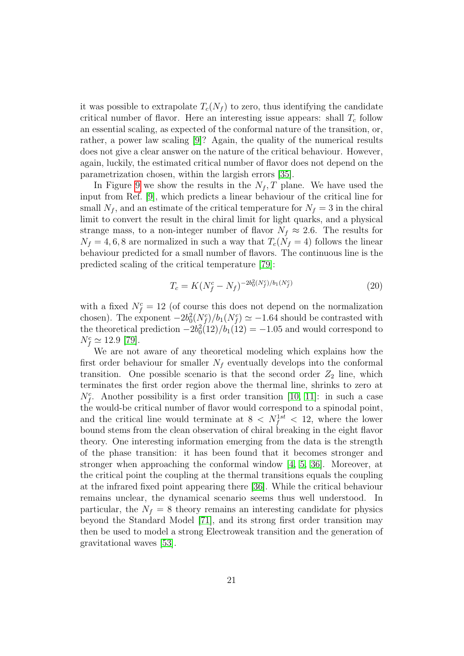it was possible to extrapolate  $T_c(N_f)$  to zero, thus identifying the candidate critical number of flavor. Here an interesting issue appears: shall  $T_c$  follow an essential scaling, as expected of the conformal nature of the transition, or, rather, a power law scaling [\[9\]](#page-23-2)? Again, the quality of the numerical results does not give a clear answer on the nature of the critical behaviour. However, again, luckily, the estimated critical number of flavor does not depend on the parametrization chosen, within the largish errors [\[35\]](#page-25-5).

In Figure [9](#page-17-0) we show the results in the  $N_f$ , T plane. We have used the input from Ref. [\[9\]](#page-23-2), which predicts a linear behaviour of the critical line for small  $N_f$ , and an estimate of the critical temperature for  $N_f = 3$  in the chiral limit to convert the result in the chiral limit for light quarks, and a physical strange mass, to a non-integer number of flavor  $N_f \approx 2.6$ . The results for  $N_f = 4, 6, 8$  are normalized in such a way that  $T_c(N_f = 4)$  follows the linear behaviour predicted for a small number of flavors. The continuous line is the predicted scaling of the critical temperature [\[79\]](#page-29-2):

$$
T_c = K(N_f^c - N_f)^{-2b_0^2(N_f^c)/b_1(N_f^c)}
$$
\n(20)

with a fixed  $N_f^c = 12$  (of course this does not depend on the normalization chosen). The exponent  $-2b_0^2(N_f^c)/b_1(N_f^c) \simeq -1.64$  should be contrasted with the theoretical prediction  $-2b_0^2(12)/b_1(12) = -1.05$  and would correspond to  $N_f^c \simeq 12.9$  [\[79\]](#page-29-2).

We are not aware of any theoretical modeling which explains how the first order behaviour for smaller  $N_f$  eventually develops into the conformal transition. One possible scenario is that the second order  $Z_2$  line, which terminates the first order region above the thermal line, shrinks to zero at  $N_f^c$ . Another possibility is a first order transition [\[10,](#page-23-3) [11\]](#page-23-4): in such a case the would-be critical number of flavor would correspond to a spinodal point, and the critical line would terminate at  $8 \langle N_f^{1st} \langle 12 \rangle$ , where the lower bound stems from the clean observation of chiral breaking in the eight flavor theory. One interesting information emerging from the data is the strength of the phase transition: it has been found that it becomes stronger and stronger when approaching the conformal window [\[4,](#page-22-3) [5,](#page-22-4) [36\]](#page-25-8). Moreover, at the critical point the coupling at the thermal transitions equals the coupling at the infrared fixed point appearing there [\[36\]](#page-25-8). While the critical behaviour remains unclear, the dynamical scenario seems thus well understood. In particular, the  $N_f = 8$  theory remains an interesting candidate for physics beyond the Standard Model [\[71\]](#page-28-8), and its strong first order transition may then be used to model a strong Electroweak transition and the generation of gravitational waves [\[53\]](#page-27-2).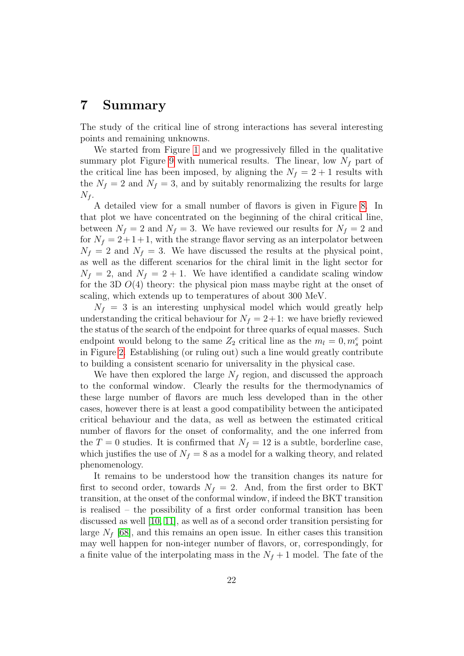#### 7 Summary

The study of the critical line of strong interactions has several interesting points and remaining unknowns.

We started from Figure [1](#page-3-0) and we progressively filled in the qualitative summary plot Figure [9](#page-17-0) with numerical results. The linear, low  $N_f$  part of the critical line has been imposed, by aligning the  $N_f = 2 + 1$  results with the  $N_f = 2$  and  $N_f = 3$ , and by suitably renormalizing the results for large  $N_f$ .

A detailed view for a small number of flavors is given in Figure [8.](#page-16-1) In that plot we have concentrated on the beginning of the chiral critical line, between  $N_f = 2$  and  $N_f = 3$ . We have reviewed our results for  $N_f = 2$  and for  $N_f = 2 + 1 + 1$ , with the strange flavor serving as an interpolator between  $N_f = 2$  and  $N_f = 3$ . We have discussed the results at the physical point, as well as the different scenarios for the chiral limit in the light sector for  $N_f = 2$ , and  $N_f = 2 + 1$ . We have identified a candidate scaling window for the 3D  $O(4)$  theory: the physical pion mass maybe right at the onset of scaling, which extends up to temperatures of about 300 MeV.

 $N_f = 3$  is an interesting unphysical model which would greatly help understanding the critical behaviour for  $N_f = 2+1$ : we have briefly reviewed the status of the search of the endpoint for three quarks of equal masses. Such endpoint would belong to the same  $Z_2$  critical line as the  $m_l = 0, m_s^c$  point in Figure [2.](#page-6-0) Establishing (or ruling out) such a line would greatly contribute to building a consistent scenario for universality in the physical case.

We have then explored the large  $N_f$  region, and discussed the approach to the conformal window. Clearly the results for the thermodynamics of these large number of flavors are much less developed than in the other cases, however there is at least a good compatibility between the anticipated critical behaviour and the data, as well as between the estimated critical number of flavors for the onset of conformality, and the one inferred from the  $T = 0$  studies. It is confirmed that  $N_f = 12$  is a subtle, borderline case, which justifies the use of  $N_f = 8$  as a model for a walking theory, and related phenomenology.

It remains to be understood how the transition changes its nature for first to second order, towards  $N_f = 2$ . And, from the first order to BKT transition, at the onset of the conformal window, if indeed the BKT transition is realised – the possibility of a first order conformal transition has been discussed as well [\[10,](#page-23-3) [11\]](#page-23-4), as well as of a second order transition persisting for large  $N_f$  [\[68\]](#page-28-5), and this remains an open issue. In either cases this transition may well happen for non-integer number of flavors, or, correspondingly, for a finite value of the interpolating mass in the  $N_f + 1$  model. The fate of the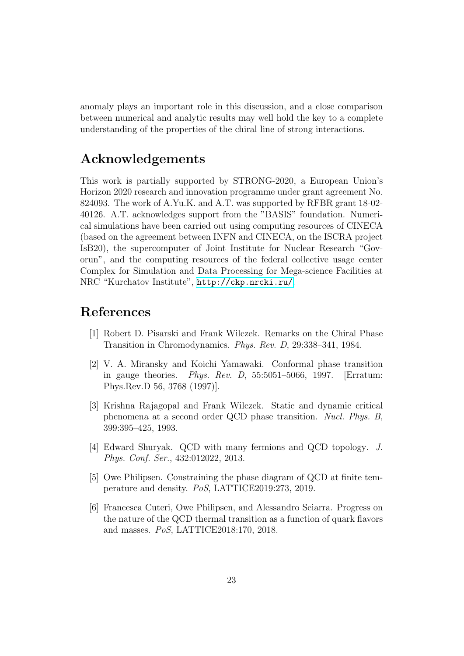anomaly plays an important role in this discussion, and a close comparison between numerical and analytic results may well hold the key to a complete understanding of the properties of the chiral line of strong interactions.

#### Acknowledgements

This work is partially supported by STRONG-2020, a European Union's Horizon 2020 research and innovation programme under grant agreement No. 824093. The work of A.Yu.K. and A.T. was supported by RFBR grant 18-02- 40126. A.T. acknowledges support from the "BASIS" foundation. Numerical simulations have been carried out using computing resources of CINECA (based on the agreement between INFN and CINECA, on the ISCRA project IsB20), the supercomputer of Joint Institute for Nuclear Research "Govorun", and the computing resources of the federal collective usage center Complex for Simulation and Data Processing for Mega-science Facilities at NRC "Kurchatov Institute", <http://ckp.nrcki.ru/>.

## References

- <span id="page-22-0"></span>[1] Robert D. Pisarski and Frank Wilczek. Remarks on the Chiral Phase Transition in Chromodynamics. Phys. Rev. D, 29:338–341, 1984.
- <span id="page-22-1"></span>[2] V. A. Miransky and Koichi Yamawaki. Conformal phase transition in gauge theories. *Phys. Rev. D*,  $55:5051-5066$ , 1997. [Erratum: Phys.Rev.D 56, 3768 (1997)].
- <span id="page-22-2"></span>[3] Krishna Rajagopal and Frank Wilczek. Static and dynamic critical phenomena at a second order QCD phase transition. Nucl. Phys. B, 399:395–425, 1993.
- <span id="page-22-3"></span>[4] Edward Shuryak. QCD with many fermions and QCD topology. J. Phys. Conf. Ser., 432:012022, 2013.
- <span id="page-22-4"></span>[5] Owe Philipsen. Constraining the phase diagram of QCD at finite temperature and density. PoS, LATTICE2019:273, 2019.
- [6] Francesca Cuteri, Owe Philipsen, and Alessandro Sciarra. Progress on the nature of the QCD thermal transition as a function of quark flavors and masses. PoS, LATTICE2018:170, 2018.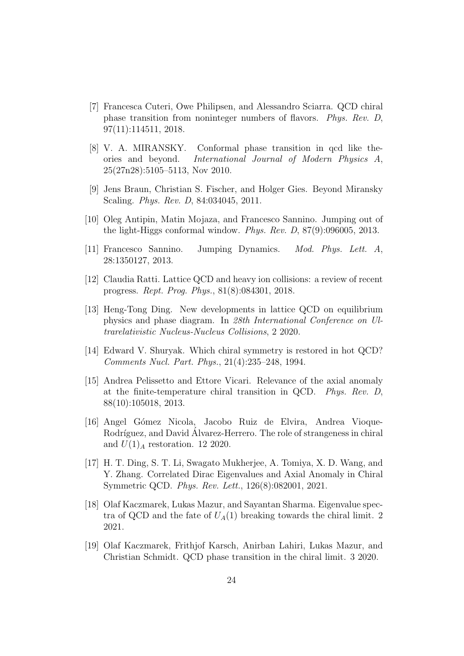- <span id="page-23-0"></span>[7] Francesca Cuteri, Owe Philipsen, and Alessandro Sciarra. QCD chiral phase transition from noninteger numbers of flavors. Phys. Rev. D, 97(11):114511, 2018.
- <span id="page-23-1"></span>[8] V. A. MIRANSKY. Conformal phase transition in qcd like theories and beyond. International Journal of Modern Physics A, 25(27n28):5105–5113, Nov 2010.
- <span id="page-23-2"></span>[9] Jens Braun, Christian S. Fischer, and Holger Gies. Beyond Miransky Scaling. Phys. Rev. D, 84:034045, 2011.
- <span id="page-23-3"></span>[10] Oleg Antipin, Matin Mojaza, and Francesco Sannino. Jumping out of the light-Higgs conformal window. Phys. Rev. D, 87(9):096005, 2013.
- <span id="page-23-4"></span>[11] Francesco Sannino. Jumping Dynamics. Mod. Phys. Lett. A, 28:1350127, 2013.
- <span id="page-23-5"></span>[12] Claudia Ratti. Lattice QCD and heavy ion collisions: a review of recent progress. Rept. Prog. Phys., 81(8):084301, 2018.
- <span id="page-23-6"></span>[13] Heng-Tong Ding. New developments in lattice QCD on equilibrium physics and phase diagram. In 28th International Conference on Ultrarelativistic Nucleus-Nucleus Collisions, 2 2020.
- <span id="page-23-7"></span>[14] Edward V. Shuryak. Which chiral symmetry is restored in hot QCD? Comments Nucl. Part. Phys., 21(4):235–248, 1994.
- <span id="page-23-8"></span>[15] Andrea Pelissetto and Ettore Vicari. Relevance of the axial anomaly at the finite-temperature chiral transition in QCD. Phys. Rev. D, 88(10):105018, 2013.
- <span id="page-23-9"></span>[16] Angel G´omez Nicola, Jacobo Ruiz de Elvira, Andrea Vioque-Rodríguez, and David Alvarez-Herrero. The role of strangeness in chiral and  $U(1)_{A}$  restoration. 12 2020.
- <span id="page-23-10"></span>[17] H. T. Ding, S. T. Li, Swagato Mukherjee, A. Tomiya, X. D. Wang, and Y. Zhang. Correlated Dirac Eigenvalues and Axial Anomaly in Chiral Symmetric QCD. Phys. Rev. Lett., 126(8):082001, 2021.
- [18] Olaf Kaczmarek, Lukas Mazur, and Sayantan Sharma. Eigenvalue spectra of QCD and the fate of  $U_A(1)$  breaking towards the chiral limit. 2 2021.
- [19] Olaf Kaczmarek, Frithjof Karsch, Anirban Lahiri, Lukas Mazur, and Christian Schmidt. QCD phase transition in the chiral limit. 3 2020.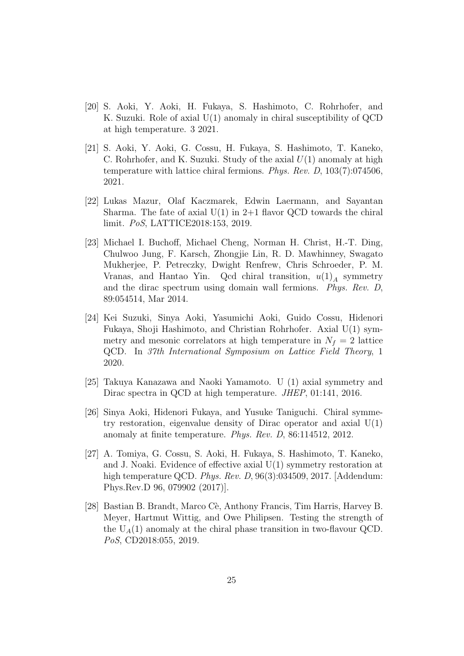- [20] S. Aoki, Y. Aoki, H. Fukaya, S. Hashimoto, C. Rohrhofer, and K. Suzuki. Role of axial U(1) anomaly in chiral susceptibility of QCD at high temperature. 3 2021.
- [21] S. Aoki, Y. Aoki, G. Cossu, H. Fukaya, S. Hashimoto, T. Kaneko, C. Rohrhofer, and K. Suzuki. Study of the axial  $U(1)$  anomaly at high temperature with lattice chiral fermions. Phys. Rev. D, 103(7):074506, 2021.
- [22] Lukas Mazur, Olaf Kaczmarek, Edwin Laermann, and Sayantan Sharma. The fate of axial  $U(1)$  in 2+1 flavor QCD towards the chiral limit. PoS, LATTICE2018:153, 2019.
- [23] Michael I. Buchoff, Michael Cheng, Norman H. Christ, H.-T. Ding, Chulwoo Jung, F. Karsch, Zhongjie Lin, R. D. Mawhinney, Swagato Mukherjee, P. Petreczky, Dwight Renfrew, Chris Schroeder, P. M. Vranas, and Hantao Yin. Qcd chiral transition,  $u(1)<sub>A</sub>$  symmetry and the dirac spectrum using domain wall fermions. Phys. Rev. D, 89:054514, Mar 2014.
- [24] Kei Suzuki, Sinya Aoki, Yasumichi Aoki, Guido Cossu, Hidenori Fukaya, Shoji Hashimoto, and Christian Rohrhofer. Axial U(1) symmetry and mesonic correlators at high temperature in  $N_f = 2$  lattice QCD. In 37th International Symposium on Lattice Field Theory, 1 2020.
- [25] Takuya Kanazawa and Naoki Yamamoto. U (1) axial symmetry and Dirac spectra in QCD at high temperature. *JHEP*, 01:141, 2016.
- [26] Sinya Aoki, Hidenori Fukaya, and Yusuke Taniguchi. Chiral symmetry restoration, eigenvalue density of Dirac operator and axial  $U(1)$ anomaly at finite temperature. Phys. Rev. D, 86:114512, 2012.
- [27] A. Tomiya, G. Cossu, S. Aoki, H. Fukaya, S. Hashimoto, T. Kaneko, and J. Noaki. Evidence of effective axial U(1) symmetry restoration at high temperature QCD. Phys. Rev. D, 96(3):034509, 2017. [Addendum: Phys.Rev.D 96, 079902 (2017)].
- <span id="page-24-0"></span>[28] Bastian B. Brandt, Marco Cè, Anthony Francis, Tim Harris, Harvey B. Meyer, Hartmut Wittig, and Owe Philipsen. Testing the strength of the  $U_A(1)$  anomaly at the chiral phase transition in two-flavour QCD. PoS, CD2018:055, 2019.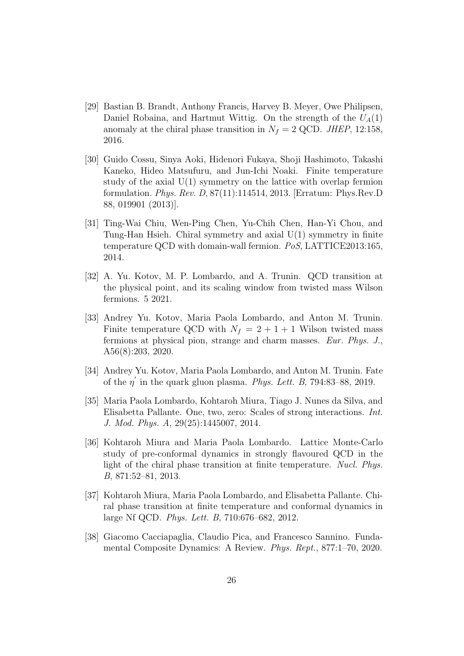- <span id="page-25-1"></span>[29] Bastian B. Brandt, Anthony Francis, Harvey B. Meyer, Owe Philipsen, Daniel Robaina, and Hartmut Wittig. On the strength of the  $U_A(1)$ anomaly at the chiral phase transition in  $N_f = 2$  QCD. JHEP, 12:158, 2016.
- [30] Guido Cossu, Sinya Aoki, Hidenori Fukaya, Shoji Hashimoto, Takashi Kaneko, Hideo Matsufuru, and Jun-Ichi Noaki. Finite temperature study of the axial  $U(1)$  symmetry on the lattice with overlap fermion formulation. Phys. Rev. D, 87(11):114514, 2013. [Erratum: Phys.Rev.D 88, 019901 (2013)].
- <span id="page-25-0"></span>[31] Ting-Wai Chiu, Wen-Ping Chen, Yu-Chih Chen, Han-Yi Chou, and Tung-Han Hsieh. Chiral symmetry and axial U(1) symmetry in finite temperature QCD with domain-wall fermion. PoS, LATTICE2013:165, 2014.
- <span id="page-25-2"></span>[32] A. Yu. Kotov, M. P. Lombardo, and A. Trunin. QCD transition at the physical point, and its scaling window from twisted mass Wilson fermions. 5 2021.
- <span id="page-25-3"></span>[33] Andrey Yu. Kotov, Maria Paola Lombardo, and Anton M. Trunin. Finite temperature QCD with  $N_f = 2 + 1 + 1$  Wilson twisted mass fermions at physical pion, strange and charm masses. Eur. Phys. J., A56(8):203, 2020.
- <span id="page-25-4"></span>[34] Andrey Yu. Kotov, Maria Paola Lombardo, and Anton M. Trunin. Fate of the  $\eta'$  in the quark gluon plasma. Phys. Lett. B, 794:83–88, 2019.
- <span id="page-25-5"></span>[35] Maria Paola Lombardo, Kohtaroh Miura, Tiago J. Nunes da Silva, and Elisabetta Pallante. One, two, zero: Scales of strong interactions. Int. J. Mod. Phys. A, 29(25):1445007, 2014.
- <span id="page-25-8"></span>[36] Kohtaroh Miura and Maria Paola Lombardo. Lattice Monte-Carlo study of pre-conformal dynamics in strongly flavoured QCD in the light of the chiral phase transition at finite temperature. Nucl. Phys. B, 871:52–81, 2013.
- <span id="page-25-6"></span>[37] Kohtaroh Miura, Maria Paola Lombardo, and Elisabetta Pallante. Chiral phase transition at finite temperature and conformal dynamics in large Nf QCD. Phys. Lett. B, 710:676–682, 2012.
- <span id="page-25-7"></span>[38] Giacomo Cacciapaglia, Claudio Pica, and Francesco Sannino. Fundamental Composite Dynamics: A Review. Phys. Rept., 877:1–70, 2020.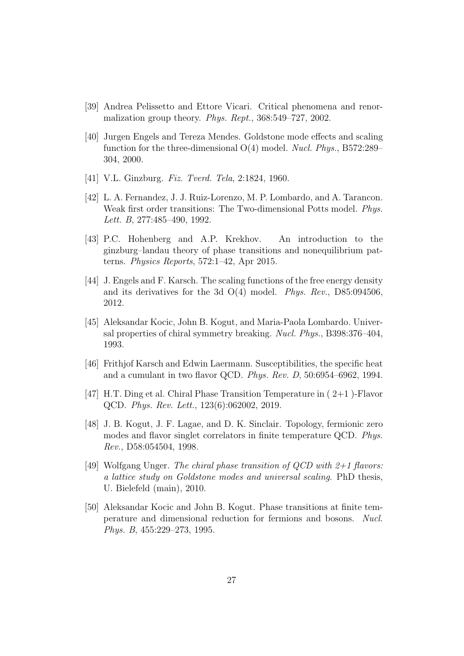- <span id="page-26-0"></span>[39] Andrea Pelissetto and Ettore Vicari. Critical phenomena and renormalization group theory. Phys. Rept., 368:549–727, 2002.
- <span id="page-26-1"></span>[40] Jurgen Engels and Tereza Mendes. Goldstone mode effects and scaling function for the three-dimensional  $O(4)$  model. *Nucl. Phys.*, B572:289– 304, 2000.
- <span id="page-26-2"></span>[41] V.L. Ginzburg. Fiz. Tverd. Tela, 2:1824, 1960.
- <span id="page-26-3"></span>[42] L. A. Fernandez, J. J. Ruiz-Lorenzo, M. P. Lombardo, and A. Tarancon. Weak first order transitions: The Two-dimensional Potts model. Phys. Lett. B, 277:485–490, 1992.
- <span id="page-26-4"></span>[43] P.C. Hohenberg and A.P. Krekhov. An introduction to the ginzburg–landau theory of phase transitions and nonequilibrium patterns. Physics Reports, 572:1–42, Apr 2015.
- <span id="page-26-5"></span>[44] J. Engels and F. Karsch. The scaling functions of the free energy density and its derivatives for the 3d  $O(4)$  model. *Phys. Rev.*, D85:094506, 2012.
- <span id="page-26-6"></span>[45] Aleksandar Kocic, John B. Kogut, and Maria-Paola Lombardo. Universal properties of chiral symmetry breaking. Nucl. Phys., B398:376–404, 1993.
- [46] Frithjof Karsch and Edwin Laermann. Susceptibilities, the specific heat and a cumulant in two flavor QCD. Phys. Rev. D, 50:6954–6962, 1994.
- <span id="page-26-7"></span>[47] H.T. Ding et al. Chiral Phase Transition Temperature in ( 2+1 )-Flavor QCD. Phys. Rev. Lett., 123(6):062002, 2019.
- <span id="page-26-8"></span>[48] J. B. Kogut, J. F. Lagae, and D. K. Sinclair. Topology, fermionic zero modes and flavor singlet correlators in finite temperature QCD. Phys. Rev., D58:054504, 1998.
- <span id="page-26-9"></span>[49] Wolfgang Unger. The chiral phase transition of  $OCD$  with  $2+1$  flavors: a lattice study on Goldstone modes and universal scaling. PhD thesis, U. Bielefeld (main), 2010.
- <span id="page-26-10"></span>[50] Aleksandar Kocic and John B. Kogut. Phase transitions at finite temperature and dimensional reduction for fermions and bosons. Nucl. Phys. B, 455:229–273, 1995.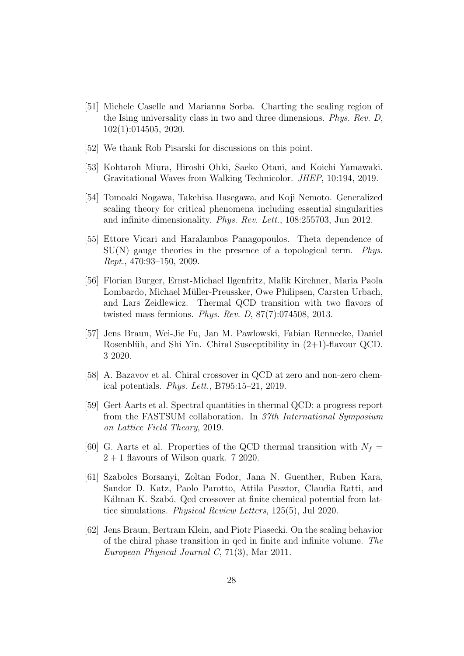- <span id="page-27-0"></span>[51] Michele Caselle and Marianna Sorba. Charting the scaling region of the Ising universality class in two and three dimensions. Phys. Rev. D, 102(1):014505, 2020.
- <span id="page-27-1"></span>[52] We thank Rob Pisarski for discussions on this point.
- <span id="page-27-2"></span>[53] Kohtaroh Miura, Hiroshi Ohki, Saeko Otani, and Koichi Yamawaki. Gravitational Waves from Walking Technicolor. JHEP, 10:194, 2019.
- <span id="page-27-3"></span>[54] Tomoaki Nogawa, Takehisa Hasegawa, and Koji Nemoto. Generalized scaling theory for critical phenomena including essential singularities and infinite dimensionality. Phys. Rev. Lett., 108:255703, Jun 2012.
- <span id="page-27-4"></span>[55] Ettore Vicari and Haralambos Panagopoulos. Theta dependence of  $SU(N)$  gauge theories in the presence of a topological term. Phys. Rept., 470:93–150, 2009.
- <span id="page-27-5"></span>[56] Florian Burger, Ernst-Michael Ilgenfritz, Malik Kirchner, Maria Paola Lombardo, Michael Müller-Preussker, Owe Philipsen, Carsten Urbach, and Lars Zeidlewicz. Thermal QCD transition with two flavors of twisted mass fermions. Phys. Rev. D, 87(7):074508, 2013.
- <span id="page-27-6"></span>[57] Jens Braun, Wei-Jie Fu, Jan M. Pawlowski, Fabian Rennecke, Daniel Rosenblüh, and Shi Yin. Chiral Susceptibility in  $(2+1)$ -flavour QCD. 3 2020.
- <span id="page-27-7"></span>[58] A. Bazavov et al. Chiral crossover in QCD at zero and non-zero chemical potentials. Phys. Lett., B795:15–21, 2019.
- <span id="page-27-8"></span>[59] Gert Aarts et al. Spectral quantities in thermal QCD: a progress report from the FASTSUM collaboration. In 37th International Symposium on Lattice Field Theory, 2019.
- <span id="page-27-9"></span>[60] G. Aarts et al. Properties of the QCD thermal transition with  $N_f =$  $2 + 1$  flavours of Wilson quark. 7 2020.
- <span id="page-27-10"></span>[61] Szabolcs Borsanyi, Zoltan Fodor, Jana N. Guenther, Ruben Kara, Sandor D. Katz, Paolo Parotto, Attila Pasztor, Claudia Ratti, and Kálman K. Szabó. Qcd crossover at finite chemical potential from lattice simulations. Physical Review Letters, 125(5), Jul 2020.
- <span id="page-27-11"></span>[62] Jens Braun, Bertram Klein, and Piotr Piasecki. On the scaling behavior of the chiral phase transition in qcd in finite and infinite volume. The European Physical Journal C, 71(3), Mar 2011.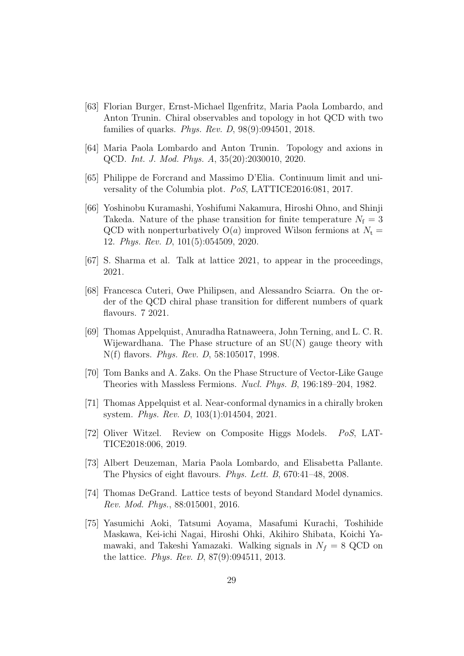- <span id="page-28-0"></span>[63] Florian Burger, Ernst-Michael Ilgenfritz, Maria Paola Lombardo, and Anton Trunin. Chiral observables and topology in hot QCD with two families of quarks. Phys. Rev. D, 98(9):094501, 2018.
- <span id="page-28-1"></span>[64] Maria Paola Lombardo and Anton Trunin. Topology and axions in QCD. Int. J. Mod. Phys. A, 35(20):2030010, 2020.
- <span id="page-28-2"></span>[65] Philippe de Forcrand and Massimo D'Elia. Continuum limit and universality of the Columbia plot. PoS, LATTICE2016:081, 2017.
- <span id="page-28-3"></span>[66] Yoshinobu Kuramashi, Yoshifumi Nakamura, Hiroshi Ohno, and Shinji Takeda. Nature of the phase transition for finite temperature  $N_f = 3$ QCD with nonperturbatively  $O(a)$  improved Wilson fermions at  $N_t =$ 12. Phys. Rev. D, 101(5):054509, 2020.
- <span id="page-28-4"></span>[67] S. Sharma et al. Talk at lattice 2021, to appear in the proceedings, 2021.
- <span id="page-28-5"></span>[68] Francesca Cuteri, Owe Philipsen, and Alessandro Sciarra. On the order of the QCD chiral phase transition for different numbers of quark flavours. 7 2021.
- <span id="page-28-6"></span>[69] Thomas Appelquist, Anuradha Ratnaweera, John Terning, and L. C. R. Wijewardhana. The Phase structure of an SU(N) gauge theory with N(f) flavors. Phys. Rev. D, 58:105017, 1998.
- <span id="page-28-7"></span>[70] Tom Banks and A. Zaks. On the Phase Structure of Vector-Like Gauge Theories with Massless Fermions. Nucl. Phys. B, 196:189–204, 1982.
- <span id="page-28-8"></span>[71] Thomas Appelquist et al. Near-conformal dynamics in a chirally broken system. Phys. Rev. D, 103(1):014504, 2021.
- [72] Oliver Witzel. Review on Composite Higgs Models. PoS, LAT-TICE2018:006, 2019.
- <span id="page-28-11"></span>[73] Albert Deuzeman, Maria Paola Lombardo, and Elisabetta Pallante. The Physics of eight flavours. Phys. Lett. B, 670:41–48, 2008.
- <span id="page-28-10"></span>[74] Thomas DeGrand. Lattice tests of beyond Standard Model dynamics. Rev. Mod. Phys., 88:015001, 2016.
- <span id="page-28-9"></span>[75] Yasumichi Aoki, Tatsumi Aoyama, Masafumi Kurachi, Toshihide Maskawa, Kei-ichi Nagai, Hiroshi Ohki, Akihiro Shibata, Koichi Yamawaki, and Takeshi Yamazaki. Walking signals in  $N_f = 8$  QCD on the lattice. Phys. Rev. D, 87(9):094511, 2013.